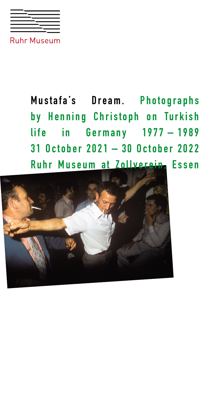

**Ruhr Museum** 

**Mustafa's Dream. Photographs by Henning Christoph on Turkish life in Germany 1977 - 1989 3 1 O c t o b e r 2 0 2 1 – 3 0 O c t o b e r 2 0 2 2**  Ruhr Museum at Zollverein, Essen

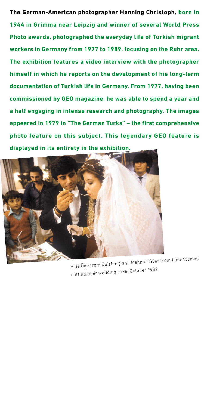**The German-American photographer Henning Christoph, born in 1944 in Grimma near Leipzig and winner of several World Press Photo awards, photographed the everyday life of Turkish migrant workers in Germany from 1977 to 1989, focusing on the Ruhr area. The exhibition features a video interview with the photographer himself in which he reports on the development of his long-term documentation of Turkish life in Germany. From 1977, having been commissioned by GEO magazine, he was able to spend a year and a half engaging in intense research and photography. The images appeared in 1979 in "The German Turks" – the first comprehensive photo feature on this subject. This legendary GEO feature is displayed in its entirety in the exhibition.** 



Filiz Üge from Duisburg and Mehmet Süer from Lüdenscheid cutting their wedding cake, October <sup>1982</sup>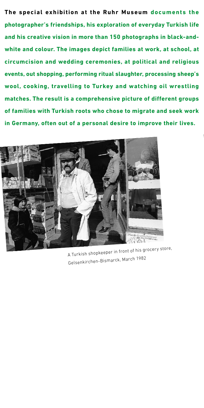**The special exhibition at the Ruhr Museum documents the photographer's friendships, his exploration of everyday Turkish life and his creative vision in more than 150 photographs in black-andwhite and colour. The images depict families at work, at school, at circumcision and wedding ceremonies, at political and religious events, out shopping, performing ritual slaughter, processing sheep's wool, cooking, travelling to Turkey and watching oil wrestling matches. The result is a comprehensive picture of different groups of families with Turkish roots who chose to migrate and seek work in Germany, often out of a personal desire to improve their lives.** 



A Turkish shopkeeper in front of his grocery store, Gelsenkirchen-Bismarck, March 1982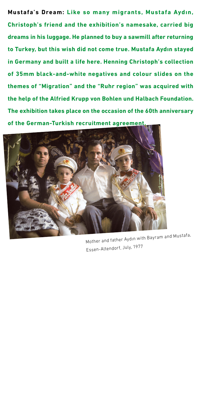**Mustafa's Dream: Like so many migrants, Mustafa Aydın, Christoph's friend and the exhibition's namesake, carried big dreams in his luggage. He planned to buy a sawmill after returning to Turkey, but this wish did not come true. Mustafa Aydın stayed in Germany and built a life here. Henning Christoph's collection of 35mm black-and-white negatives and colour slides on the themes of "Migration" and the "Ruhr region" was acquired with the help of the Alfried Krupp von Bohlen und Halbach Foundation. The exhibition takes place on the occasion of the 60th anniversary of the German-Turkish recruitment agreement.** 



Mother and father Aydın with Bayram and Mustafa, Essen-Altendorf, July, 1977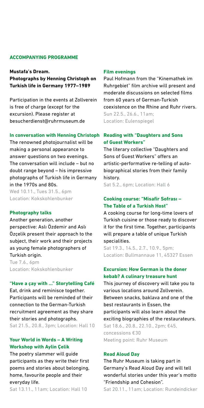#### **ACCOMPANYING PROGRAMME**

**Mustafa's Dream.**

**Photographs by Henning Christoph on Turkish life in Germany 1977–1989** 

Participation in the events at Zollverein is free of charge (except for the excursion). Please register at besucherdienst@ruhrmuseum.de

#### **In conversation with Henning Christoph**

The renowned photojournalist will be making a personal appearance to answer questions on two evenings. The conversation will include – but no doubt range beyond – his impressive photographs of Turkish life in Germany in the 1970s and 80s.

Wed 10.11. Tues 31.5., 6pm Location: Kokskohlenbunker

#### **Photography talks**

Another generation, another perspective: Aslı Özdemir and Aslı Özçelik present their approach to the subject, their work and their projects as young female photographers of Turkish origin.

Tue 7.6., 6pm Location: Kokskohlenbunker

#### **"Have a çay with ..." Storytelling Café**

Eat, drink and reminisce together. Participants will be reminded of their connection to the German-Turkish recruitment agreement as they share their stories and photographs. Sat 21.5., 20.8., 3pm; Location: Hall 10

# **Your World in Words – A Writing Workshop with Aylin Çelik**

The poetry slammer will quide participants as they write their first poems and stories about belonging, home, favourite people and their everyday life.

Sat 13.11., 11am; Location: Hall 10

#### **Film evenings**

Paul Hofmann from the "Kinemathek im Ruhrgebiet" film archive will present and moderate discussions on selected films from 60 years of German-Turkish coexistence on the Rhine and Ruhr rivers. Sun 22.5., 26.6., 11am; Location: Eulenspiegel

# **Reading with "Daughters and Sons of Guest Workers"**

The literary collective "Daughters and Sons of Guest Workers" offers an artistic-performative re-telling of autobiographical stories from their family history.

Sat 5.2., 6pm; Location: Hall 6

# **Cooking course: "Misafir Sofrası – The Table of a Turkish Host"**

A cooking course for long-time lovers of Turkish cuisine or those ready to discover it for the first time. Together, participants will prepare a table of unique Turkish specialities.

Sat 19.3., 14.5., 2.7., 10.9., 5pm: Location: Bullmannaue 11, 45327 Essen

# **Excursion: How German is the doner kebab? A culinary treasure hunt**

This journey of discovery will take you to various locations around Zollverein. Between snacks, baklava and one of the best restaurants in Essen, the participants will also learn about the exciting biographies of the restaurateurs. Sat 18.6., 20.8., 22.10., 2pm: €45. concessions € 30 Meeting point: Ruhr Museum

#### **Read Aloud Day**

The Ruhr Museum is taking part in Germany's Read Aloud Day and will tell wonderful stories under this year's motto "Friendship and Cohesion".

Sat 20.11., 11am; Location: Rundeindicker